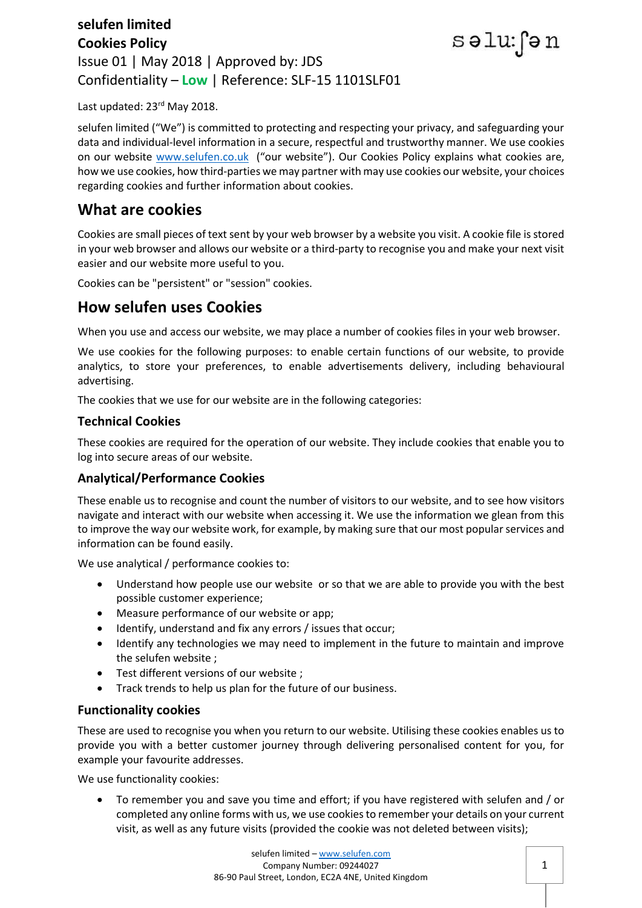### **selufen limited Cookies Policy** Issue 01 | May 2018 | Approved by: JDS Confidentiality – **Low** | Reference: SLF-15 1101SLF01



Last updated: 23rd May 2018.

selufen limited ("We") is committed to protecting and respecting your privacy, and safeguarding your data and individual-level information in a secure, respectful and trustworthy manner. We use cookies on our website [www.selufen.co.uk](http://www.selufen.co.uk/) ("our website"). Our Cookies Policy explains what cookies are, how we use cookies, how third-parties we may partner with may use cookies our website, your choices regarding cookies and further information about cookies.

## **What are cookies**

Cookies are small pieces of text sent by your web browser by a website you visit. A cookie file is stored in your web browser and allows our website or a third-party to recognise you and make your next visit easier and our website more useful to you.

Cookies can be "persistent" or "session" cookies.

### **How selufen uses Cookies**

When you use and access our website, we may place a number of cookies files in your web browser.

We use cookies for the following purposes: to enable certain functions of our website, to provide analytics, to store your preferences, to enable advertisements delivery, including behavioural advertising.

The cookies that we use for our website are in the following categories:

### **Technical Cookies**

These cookies are required for the operation of our website. They include cookies that enable you to log into secure areas of our website.

### **Analytical/Performance Cookies**

These enable us to recognise and count the number of visitors to our website, and to see how visitors navigate and interact with our website when accessing it. We use the information we glean from this to improve the way our website work, for example, by making sure that our most popular services and information can be found easily.

We use analytical / performance cookies to:

- Understand how people use our website or so that we are able to provide you with the best possible customer experience;
- Measure performance of our website or app;
- Identify, understand and fix any errors / issues that occur;
- Identify any technologies we may need to implement in the future to maintain and improve the selufen website ;
- Test different versions of our website ;
- Track trends to help us plan for the future of our business.

### **Functionality cookies**

These are used to recognise you when you return to our website. Utilising these cookies enables us to provide you with a better customer journey through delivering personalised content for you, for example your favourite addresses.

We use functionality cookies:

 To remember you and save you time and effort; if you have registered with selufen and / or completed any online forms with us, we use cookies to remember your details on your current visit, as well as any future visits (provided the cookie was not deleted between visits);